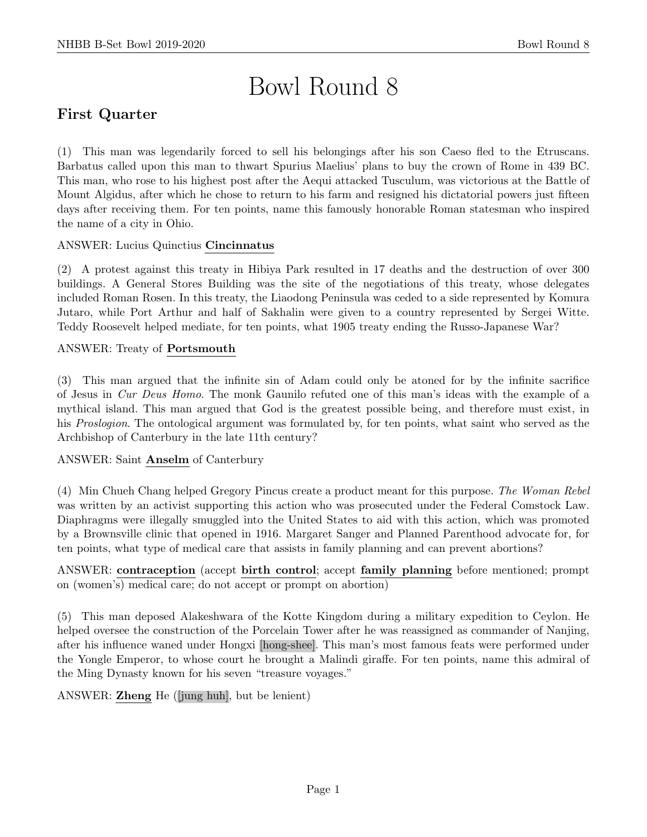# Bowl Round 8

# First Quarter

(1) This man was legendarily forced to sell his belongings after his son Caeso fled to the Etruscans. Barbatus called upon this man to thwart Spurius Maelius' plans to buy the crown of Rome in 439 BC. This man, who rose to his highest post after the Aequi attacked Tusculum, was victorious at the Battle of Mount Algidus, after which he chose to return to his farm and resigned his dictatorial powers just fifteen days after receiving them. For ten points, name this famously honorable Roman statesman who inspired the name of a city in Ohio.

# ANSWER: Lucius Quinctius Cincinnatus

(2) A protest against this treaty in Hibiya Park resulted in 17 deaths and the destruction of over 300 buildings. A General Stores Building was the site of the negotiations of this treaty, whose delegates included Roman Rosen. In this treaty, the Liaodong Peninsula was ceded to a side represented by Komura Jutaro, while Port Arthur and half of Sakhalin were given to a country represented by Sergei Witte. Teddy Roosevelt helped mediate, for ten points, what 1905 treaty ending the Russo-Japanese War?

#### ANSWER: Treaty of Portsmouth

(3) This man argued that the infinite sin of Adam could only be atoned for by the infinite sacrifice of Jesus in Cur Deus Homo. The monk Gaunilo refuted one of this man's ideas with the example of a mythical island. This man argued that God is the greatest possible being, and therefore must exist, in his *Proslogion*. The ontological argument was formulated by, for ten points, what saint who served as the Archbishop of Canterbury in the late 11th century?

#### ANSWER: Saint Anselm of Canterbury

(4) Min Chueh Chang helped Gregory Pincus create a product meant for this purpose. The Woman Rebel was written by an activist supporting this action who was prosecuted under the Federal Comstock Law. Diaphragms were illegally smuggled into the United States to aid with this action, which was promoted by a Brownsville clinic that opened in 1916. Margaret Sanger and Planned Parenthood advocate for, for ten points, what type of medical care that assists in family planning and can prevent abortions?

# ANSWER: contraception (accept birth control; accept family planning before mentioned; prompt on (women's) medical care; do not accept or prompt on abortion)

(5) This man deposed Alakeshwara of the Kotte Kingdom during a military expedition to Ceylon. He helped oversee the construction of the Porcelain Tower after he was reassigned as commander of Nanjing, after his influence waned under Hongxi [hong-shee]. This man's most famous feats were performed under the Yongle Emperor, to whose court he brought a Malindi giraffe. For ten points, name this admiral of the Ming Dynasty known for his seven "treasure voyages."

ANSWER: Zheng He ([jung huh], but be lenient)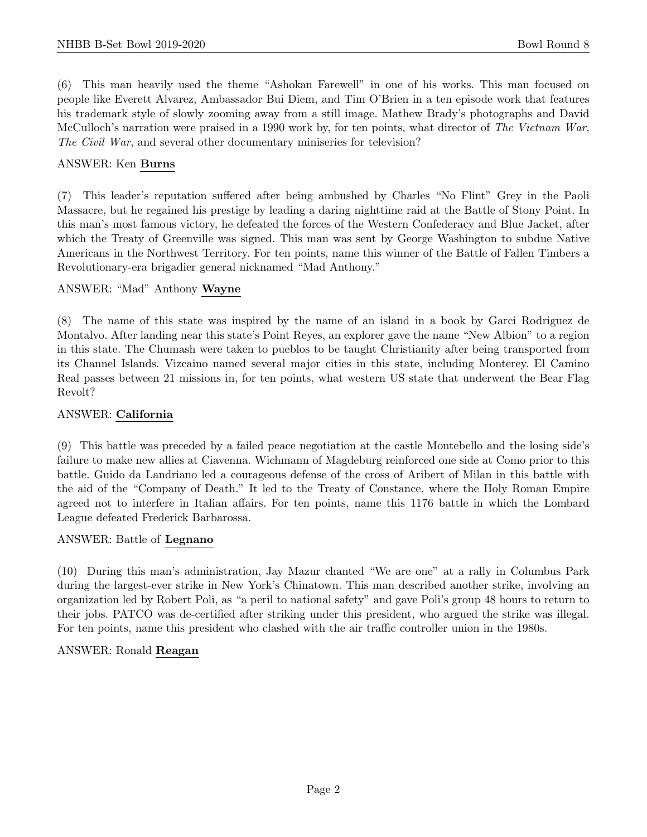(6) This man heavily used the theme "Ashokan Farewell" in one of his works. This man focused on people like Everett Alvarez, Ambassador Bui Diem, and Tim O'Brien in a ten episode work that features his trademark style of slowly zooming away from a still image. Mathew Brady's photographs and David McCulloch's narration were praised in a 1990 work by, for ten points, what director of The Vietnam War, The Civil War, and several other documentary miniseries for television?

#### ANSWER: Ken Burns

(7) This leader's reputation suffered after being ambushed by Charles "No Flint" Grey in the Paoli Massacre, but he regained his prestige by leading a daring nighttime raid at the Battle of Stony Point. In this man's most famous victory, he defeated the forces of the Western Confederacy and Blue Jacket, after which the Treaty of Greenville was signed. This man was sent by George Washington to subdue Native Americans in the Northwest Territory. For ten points, name this winner of the Battle of Fallen Timbers a Revolutionary-era brigadier general nicknamed "Mad Anthony."

#### ANSWER: "Mad" Anthony Wayne

(8) The name of this state was inspired by the name of an island in a book by Garci Rodriguez de Montalvo. After landing near this state's Point Reyes, an explorer gave the name "New Albion" to a region in this state. The Chumash were taken to pueblos to be taught Christianity after being transported from its Channel Islands. Vizcaino named several major cities in this state, including Monterey. El Camino Real passes between 21 missions in, for ten points, what western US state that underwent the Bear Flag Revolt?

#### ANSWER: California

(9) This battle was preceded by a failed peace negotiation at the castle Montebello and the losing side's failure to make new allies at Ciavenna. Wichmann of Magdeburg reinforced one side at Como prior to this battle. Guido da Landriano led a courageous defense of the cross of Aribert of Milan in this battle with the aid of the "Company of Death." It led to the Treaty of Constance, where the Holy Roman Empire agreed not to interfere in Italian affairs. For ten points, name this 1176 battle in which the Lombard League defeated Frederick Barbarossa.

#### ANSWER: Battle of Legnano

(10) During this man's administration, Jay Mazur chanted "We are one" at a rally in Columbus Park during the largest-ever strike in New York's Chinatown. This man described another strike, involving an organization led by Robert Poli, as "a peril to national safety" and gave Poli's group 48 hours to return to their jobs. PATCO was de-certified after striking under this president, who argued the strike was illegal. For ten points, name this president who clashed with the air traffic controller union in the 1980s.

#### ANSWER: Ronald Reagan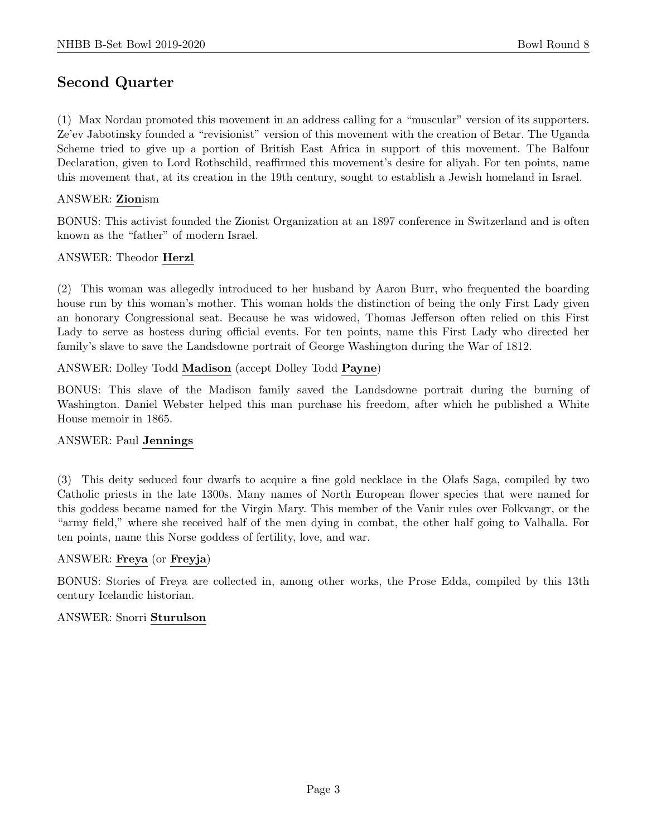# Second Quarter

(1) Max Nordau promoted this movement in an address calling for a "muscular" version of its supporters. Ze'ev Jabotinsky founded a "revisionist" version of this movement with the creation of Betar. The Uganda Scheme tried to give up a portion of British East Africa in support of this movement. The Balfour Declaration, given to Lord Rothschild, reaffirmed this movement's desire for aliyah. For ten points, name this movement that, at its creation in the 19th century, sought to establish a Jewish homeland in Israel.

#### ANSWER: Zionism

BONUS: This activist founded the Zionist Organization at an 1897 conference in Switzerland and is often known as the "father" of modern Israel.

#### ANSWER: Theodor Herzl

(2) This woman was allegedly introduced to her husband by Aaron Burr, who frequented the boarding house run by this woman's mother. This woman holds the distinction of being the only First Lady given an honorary Congressional seat. Because he was widowed, Thomas Jefferson often relied on this First Lady to serve as hostess during official events. For ten points, name this First Lady who directed her family's slave to save the Landsdowne portrait of George Washington during the War of 1812.

#### ANSWER: Dolley Todd Madison (accept Dolley Todd Payne)

BONUS: This slave of the Madison family saved the Landsdowne portrait during the burning of Washington. Daniel Webster helped this man purchase his freedom, after which he published a White House memoir in 1865.

#### ANSWER: Paul Jennings

(3) This deity seduced four dwarfs to acquire a fine gold necklace in the Olafs Saga, compiled by two Catholic priests in the late 1300s. Many names of North European flower species that were named for this goddess became named for the Virgin Mary. This member of the Vanir rules over Folkvangr, or the "army field," where she received half of the men dying in combat, the other half going to Valhalla. For ten points, name this Norse goddess of fertility, love, and war.

#### ANSWER: Freya (or Freyja)

BONUS: Stories of Freya are collected in, among other works, the Prose Edda, compiled by this 13th century Icelandic historian.

#### ANSWER: Snorri Sturulson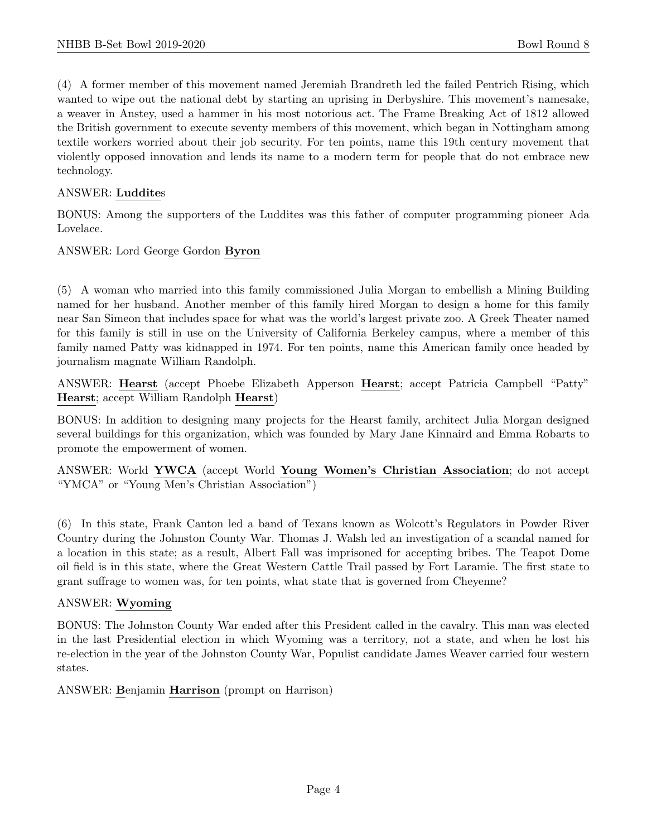(4) A former member of this movement named Jeremiah Brandreth led the failed Pentrich Rising, which wanted to wipe out the national debt by starting an uprising in Derbyshire. This movement's namesake, a weaver in Anstey, used a hammer in his most notorious act. The Frame Breaking Act of 1812 allowed the British government to execute seventy members of this movement, which began in Nottingham among textile workers worried about their job security. For ten points, name this 19th century movement that violently opposed innovation and lends its name to a modern term for people that do not embrace new technology.

#### ANSWER: Luddites

BONUS: Among the supporters of the Luddites was this father of computer programming pioneer Ada Lovelace.

#### ANSWER: Lord George Gordon Byron

(5) A woman who married into this family commissioned Julia Morgan to embellish a Mining Building named for her husband. Another member of this family hired Morgan to design a home for this family near San Simeon that includes space for what was the world's largest private zoo. A Greek Theater named for this family is still in use on the University of California Berkeley campus, where a member of this family named Patty was kidnapped in 1974. For ten points, name this American family once headed by journalism magnate William Randolph.

ANSWER: Hearst (accept Phoebe Elizabeth Apperson Hearst; accept Patricia Campbell "Patty" Hearst; accept William Randolph Hearst)

BONUS: In addition to designing many projects for the Hearst family, architect Julia Morgan designed several buildings for this organization, which was founded by Mary Jane Kinnaird and Emma Robarts to promote the empowerment of women.

ANSWER: World YWCA (accept World Young Women's Christian Association; do not accept "YMCA" or "Young Men's Christian Association")

(6) In this state, Frank Canton led a band of Texans known as Wolcott's Regulators in Powder River Country during the Johnston County War. Thomas J. Walsh led an investigation of a scandal named for a location in this state; as a result, Albert Fall was imprisoned for accepting bribes. The Teapot Dome oil field is in this state, where the Great Western Cattle Trail passed by Fort Laramie. The first state to grant suffrage to women was, for ten points, what state that is governed from Cheyenne?

#### ANSWER: Wyoming

BONUS: The Johnston County War ended after this President called in the cavalry. This man was elected in the last Presidential election in which Wyoming was a territory, not a state, and when he lost his re-election in the year of the Johnston County War, Populist candidate James Weaver carried four western states.

ANSWER: Benjamin Harrison (prompt on Harrison)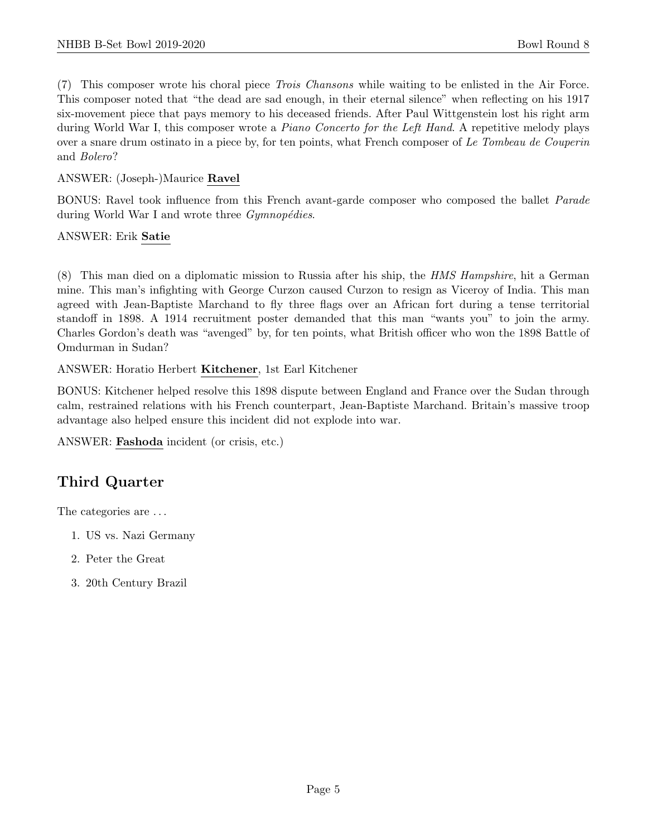(7) This composer wrote his choral piece Trois Chansons while waiting to be enlisted in the Air Force. This composer noted that "the dead are sad enough, in their eternal silence" when reflecting on his 1917 six-movement piece that pays memory to his deceased friends. After Paul Wittgenstein lost his right arm during World War I, this composer wrote a *Piano Concerto for the Left Hand*. A repetitive melody plays over a snare drum ostinato in a piece by, for ten points, what French composer of Le Tombeau de Couperin and Bolero?

ANSWER: (Joseph-)Maurice Ravel

BONUS: Ravel took influence from this French avant-garde composer who composed the ballet Parade during World War I and wrote three  $Gymnopédies$ .

ANSWER: Erik Satie

(8) This man died on a diplomatic mission to Russia after his ship, the HMS Hampshire, hit a German mine. This man's infighting with George Curzon caused Curzon to resign as Viceroy of India. This man agreed with Jean-Baptiste Marchand to fly three flags over an African fort during a tense territorial standoff in 1898. A 1914 recruitment poster demanded that this man "wants you" to join the army. Charles Gordon's death was "avenged" by, for ten points, what British officer who won the 1898 Battle of Omdurman in Sudan?

ANSWER: Horatio Herbert Kitchener, 1st Earl Kitchener

BONUS: Kitchener helped resolve this 1898 dispute between England and France over the Sudan through calm, restrained relations with his French counterpart, Jean-Baptiste Marchand. Britain's massive troop advantage also helped ensure this incident did not explode into war.

ANSWER: Fashoda incident (or crisis, etc.)

# Third Quarter

The categories are . . .

- 1. US vs. Nazi Germany
- 2. Peter the Great
- 3. 20th Century Brazil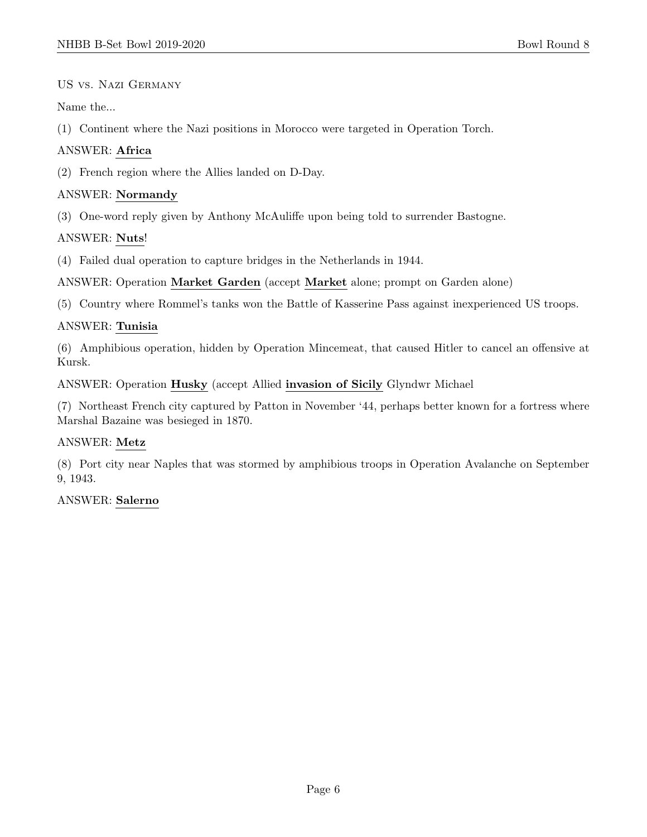US vs. Nazi Germany

Name the...

(1) Continent where the Nazi positions in Morocco were targeted in Operation Torch.

#### ANSWER: Africa

(2) French region where the Allies landed on D-Day.

#### ANSWER: Normandy

(3) One-word reply given by Anthony McAuliffe upon being told to surrender Bastogne.

# ANSWER: Nuts!

(4) Failed dual operation to capture bridges in the Netherlands in 1944.

ANSWER: Operation Market Garden (accept Market alone; prompt on Garden alone)

(5) Country where Rommel's tanks won the Battle of Kasserine Pass against inexperienced US troops.

# ANSWER: Tunisia

(6) Amphibious operation, hidden by Operation Mincemeat, that caused Hitler to cancel an offensive at Kursk.

ANSWER: Operation Husky (accept Allied invasion of Sicily Glyndwr Michael

(7) Northeast French city captured by Patton in November '44, perhaps better known for a fortress where Marshal Bazaine was besieged in 1870.

#### ANSWER: Metz

(8) Port city near Naples that was stormed by amphibious troops in Operation Avalanche on September 9, 1943.

#### ANSWER: Salerno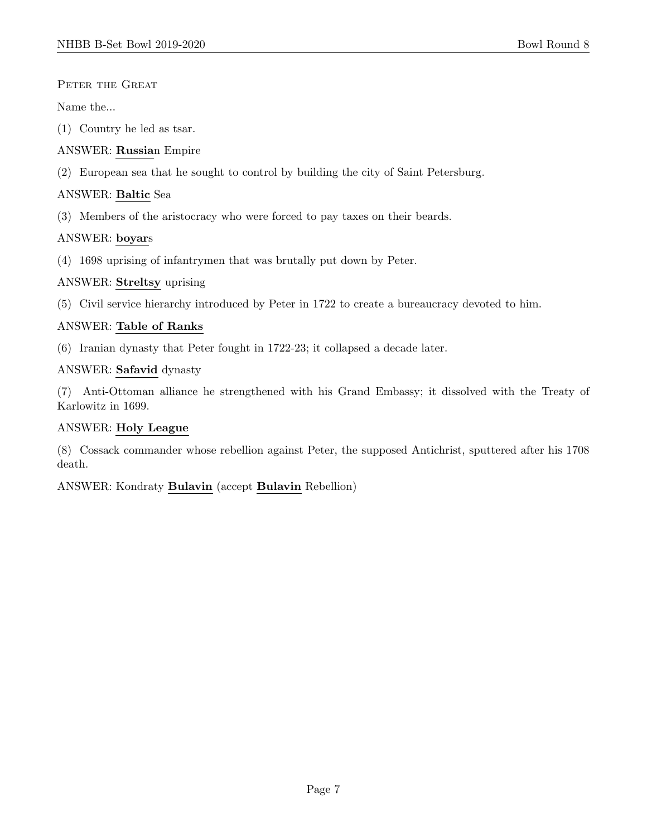#### PETER THE GREAT

Name the...

- (1) Country he led as tsar.
- ANSWER: Russian Empire
- (2) European sea that he sought to control by building the city of Saint Petersburg.

# ANSWER: Baltic Sea

(3) Members of the aristocracy who were forced to pay taxes on their beards.

# ANSWER: boyars

(4) 1698 uprising of infantrymen that was brutally put down by Peter.

# ANSWER: Streltsy uprising

(5) Civil service hierarchy introduced by Peter in 1722 to create a bureaucracy devoted to him.

# ANSWER: Table of Ranks

(6) Iranian dynasty that Peter fought in 1722-23; it collapsed a decade later.

# ANSWER: Safavid dynasty

(7) Anti-Ottoman alliance he strengthened with his Grand Embassy; it dissolved with the Treaty of Karlowitz in 1699.

# ANSWER: Holy League

(8) Cossack commander whose rebellion against Peter, the supposed Antichrist, sputtered after his 1708 death.

ANSWER: Kondraty Bulavin (accept Bulavin Rebellion)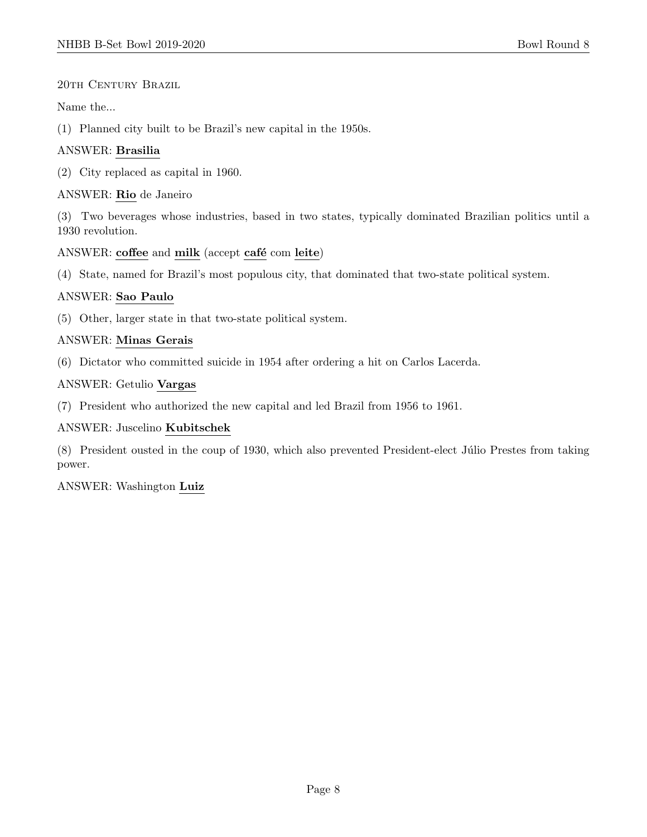#### 20TH CENTURY BRAZIL

Name the...

(1) Planned city built to be Brazil's new capital in the 1950s.

# ANSWER: Brasilia

(2) City replaced as capital in 1960.

# ANSWER: Rio de Janeiro

(3) Two beverages whose industries, based in two states, typically dominated Brazilian politics until a 1930 revolution.

# ANSWER: coffee and milk (accept café com leite)

(4) State, named for Brazil's most populous city, that dominated that two-state political system.

# ANSWER: Sao Paulo

(5) Other, larger state in that two-state political system.

# ANSWER: Minas Gerais

(6) Dictator who committed suicide in 1954 after ordering a hit on Carlos Lacerda.

# ANSWER: Getulio Vargas

(7) President who authorized the new capital and led Brazil from 1956 to 1961.

#### ANSWER: Juscelino Kubitschek

(8) President ousted in the coup of 1930, which also prevented President-elect Júlio Prestes from taking power.

#### ANSWER: Washington Luiz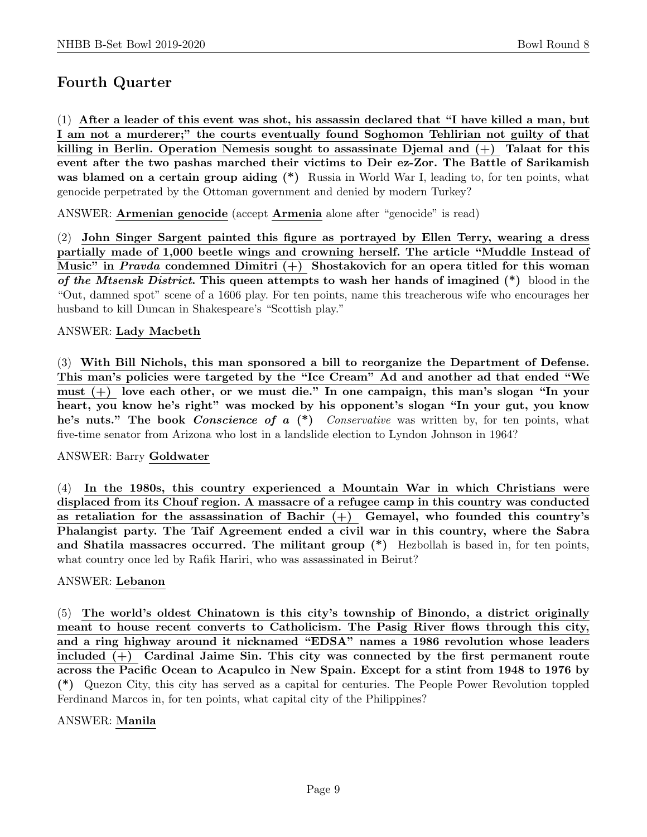# Fourth Quarter

(1) After a leader of this event was shot, his assassin declared that "I have killed a man, but I am not a murderer;" the courts eventually found Soghomon Tehlirian not guilty of that killing in Berlin. Operation Nemesis sought to assassinate Djemal and  $(+)$  Talaat for this event after the two pashas marched their victims to Deir ez-Zor. The Battle of Sarikamish was blamed on a certain group aiding (\*) Russia in World War I, leading to, for ten points, what genocide perpetrated by the Ottoman government and denied by modern Turkey?

ANSWER: Armenian genocide (accept Armenia alone after "genocide" is read)

(2) John Singer Sargent painted this figure as portrayed by Ellen Terry, wearing a dress partially made of 1,000 beetle wings and crowning herself. The article "Muddle Instead of Music" in *Pravda* condemned Dimitri  $(+)$  Shostakovich for an opera titled for this woman of the Mtsensk District. This queen attempts to wash her hands of imagined  $(*)$  blood in the "Out, damned spot" scene of a 1606 play. For ten points, name this treacherous wife who encourages her husband to kill Duncan in Shakespeare's "Scottish play."

#### ANSWER: Lady Macbeth

(3) With Bill Nichols, this man sponsored a bill to reorganize the Department of Defense. This man's policies were targeted by the "Ice Cream" Ad and another ad that ended "We must  $(+)$  love each other, or we must die." In one campaign, this man's slogan "In your heart, you know he's right" was mocked by his opponent's slogan "In your gut, you know he's nuts." The book *Conscience of a*  $(*)$  *Conservative* was written by, for ten points, what five-time senator from Arizona who lost in a landslide election to Lyndon Johnson in 1964?

#### ANSWER: Barry Goldwater

(4) In the 1980s, this country experienced a Mountain War in which Christians were displaced from its Chouf region. A massacre of a refugee camp in this country was conducted as retaliation for the assassination of Bachir  $(+)$  Gemayel, who founded this country's Phalangist party. The Taif Agreement ended a civil war in this country, where the Sabra and Shatila massacres occurred. The militant group (\*) Hezbollah is based in, for ten points, what country once led by Rafik Hariri, who was assassinated in Beirut?

#### ANSWER: Lebanon

(5) The world's oldest Chinatown is this city's township of Binondo, a district originally meant to house recent converts to Catholicism. The Pasig River flows through this city, and a ring highway around it nicknamed "EDSA" names a 1986 revolution whose leaders included (+) Cardinal Jaime Sin. This city was connected by the first permanent route across the Pacific Ocean to Acapulco in New Spain. Except for a stint from 1948 to 1976 by (\*) Quezon City, this city has served as a capital for centuries. The People Power Revolution toppled Ferdinand Marcos in, for ten points, what capital city of the Philippines?

#### ANSWER: Manila